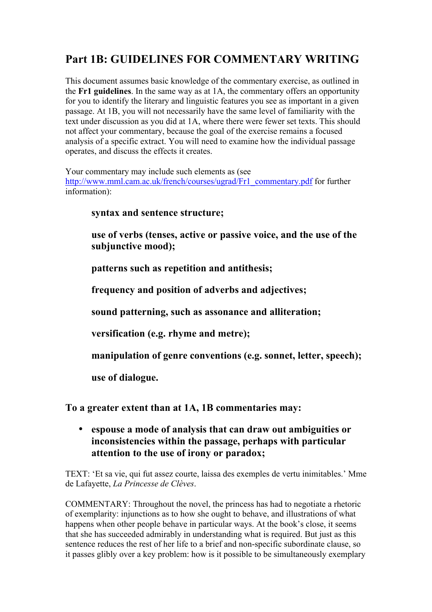# **Part 1B: GUIDELINES FOR COMMENTARY WRITING**

This document assumes basic knowledge of the commentary exercise, as outlined in the **Fr1 guidelines**. In the same way as at 1A, the commentary offers an opportunity for you to identify the literary and linguistic features you see as important in a given passage. At 1B, you will not necessarily have the same level of familiarity with the text under discussion as you did at 1A, where there were fewer set texts. This should not affect your commentary, because the goal of the exercise remains a focused analysis of a specific extract. You will need to examine how the individual passage operates, and discuss the effects it creates.

Your commentary may include such elements as (see http://www.mml.cam.ac.uk/french/courses/ugrad/Fr1\_commentary.pdf for further information):

#### **syntax and sentence structure;**

**use of verbs (tenses, active or passive voice, and the use of the subjunctive mood);**

**patterns such as repetition and antithesis;**

**frequency and position of adverbs and adjectives;**

**sound patterning, such as assonance and alliteration;**

**versification (e.g. rhyme and metre);**

**manipulation of genre conventions (e.g. sonnet, letter, speech);**

**use of dialogue.**

**To a greater extent than at 1A, 1B commentaries may:** 

• **espouse a mode of analysis that can draw out ambiguities or inconsistencies within the passage, perhaps with particular attention to the use of irony or paradox;**

TEXT: 'Et sa vie, qui fut assez courte, laissa des exemples de vertu inimitables.' Mme de Lafayette, *La Princesse de Clèves*.

COMMENTARY: Throughout the novel, the princess has had to negotiate a rhetoric of exemplarity: injunctions as to how she ought to behave, and illustrations of what happens when other people behave in particular ways. At the book's close, it seems that she has succeeded admirably in understanding what is required. But just as this sentence reduces the rest of her life to a brief and non-specific subordinate clause, so it passes glibly over a key problem: how is it possible to be simultaneously exemplary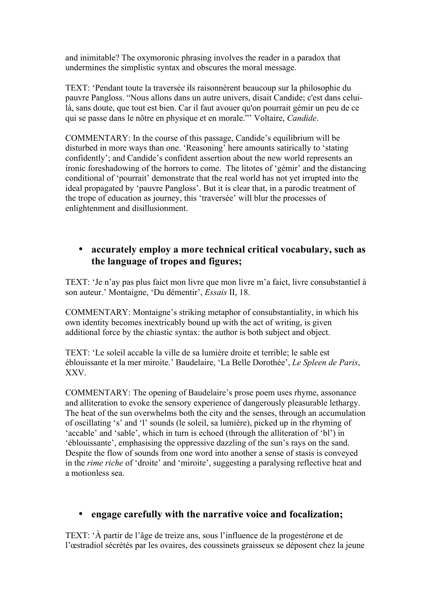and inimitable? The oxymoronic phrasing involves the reader in a paradox that undermines the simplistic syntax and obscures the moral message.

TEXT: 'Pendant toute la traversée ils raisonnèrent beaucoup sur la philosophie du pauvre Pangloss. "Nous allons dans un autre univers, disait Candide; c'est dans celuilà, sans doute, que tout est bien. Car il faut avouer qu'on pourrait gémir un peu de ce qui se passe dans le nôtre en physique et en morale."' Voltaire, *Candide*.

COMMENTARY: In the course of this passage, Candide's equilibrium will be disturbed in more ways than one. 'Reasoning' here amounts satirically to 'stating confidently'; and Candide's confident assertion about the new world represents an ironic foreshadowing of the horrors to come. The litotes of 'gémir' and the distancing conditional of 'pourrait' demonstrate that the real world has not yet irrupted into the ideal propagated by 'pauvre Pangloss'. But it is clear that, in a parodic treatment of the trope of education as journey, this 'traversée' will blur the processes of enlightenment and disillusionment.

### • **accurately employ a more technical critical vocabulary, such as the language of tropes and figures;**

TEXT: 'Je n'ay pas plus faict mon livre que mon livre m'a faict, livre consubstantiel à son auteur.' Montaigne, 'Du démentir', *Essais* II, 18.

COMMENTARY: Montaigne's striking metaphor of consubstantiality, in which his own identity becomes inextricably bound up with the act of writing, is given additional force by the chiastic syntax: the author is both subject and object.

TEXT: 'Le soleil accable la ville de sa lumière droite et terrible; le sable est éblouissante et la mer miroite.' Baudelaire, 'La Belle Dorothée', *Le Spleen de Paris*, XXV.

COMMENTARY: The opening of Baudelaire's prose poem uses rhyme, assonance and alliteration to evoke the sensory experience of dangerously pleasurable lethargy. The heat of the sun overwhelms both the city and the senses, through an accumulation of oscillating 's' and 'l' sounds (le soleil, sa lumière), picked up in the rhyming of 'accable' and 'sable', which in turn is echoed (through the alliteration of 'bl') in 'éblouissante', emphasising the oppressive dazzling of the sun's rays on the sand. Despite the flow of sounds from one word into another a sense of stasis is conveyed in the *rime riche* of 'droite' and 'miroite', suggesting a paralysing reflective heat and a motionless sea.

## • **engage carefully with the narrative voice and focalization;**

TEXT: 'À partir de l'âge de treize ans, sous l'influence de la progestérone et de l'œstradiol sécrétés par les ovaires, des coussinets graisseux se déposent chez la jeune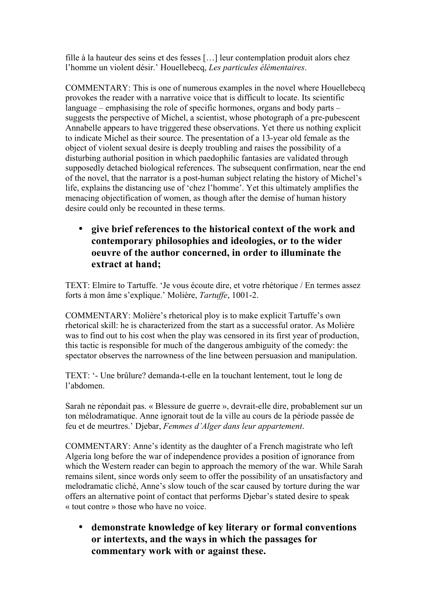fille à la hauteur des seins et des fesses […] leur contemplation produit alors chez l'homme un violent désir.' Houellebecq, *Les particules élémentaires*.

COMMENTARY: This is one of numerous examples in the novel where Houellebecq provokes the reader with a narrative voice that is difficult to locate. Its scientific language – emphasising the role of specific hormones, organs and body parts – suggests the perspective of Michel, a scientist, whose photograph of a pre-pubescent Annabelle appears to have triggered these observations. Yet there us nothing explicit to indicate Michel as their source. The presentation of a 13-year old female as the object of violent sexual desire is deeply troubling and raises the possibility of a disturbing authorial position in which paedophilic fantasies are validated through supposedly detached biological references. The subsequent confirmation, near the end of the novel, that the narrator is a post-human subject relating the history of Michel's life, explains the distancing use of 'chez l'homme'. Yet this ultimately amplifies the menacing objectification of women, as though after the demise of human history desire could only be recounted in these terms.

• **give brief references to the historical context of the work and contemporary philosophies and ideologies, or to the wider oeuvre of the author concerned, in order to illuminate the extract at hand;**

TEXT: Elmire to Tartuffe. 'Je vous écoute dire, et votre rhétorique / En termes assez forts à mon âme s'explique.' Molière, *Tartuffe*, 1001-2.

COMMENTARY: Molière's rhetorical ploy is to make explicit Tartuffe's own rhetorical skill: he is characterized from the start as a successful orator. As Molière was to find out to his cost when the play was censored in its first year of production, this tactic is responsible for much of the dangerous ambiguity of the comedy: the spectator observes the narrowness of the line between persuasion and manipulation.

TEXT: '- Une brûlure? demanda-t-elle en la touchant lentement, tout le long de l'abdomen.

Sarah ne répondait pas. « Blessure de guerre », devrait-elle dire, probablement sur un ton mélodramatique. Anne ignorait tout de la ville au cours de la période passée de feu et de meurtres.' Djebar, *Femmes d'Alger dans leur appartement*.

COMMENTARY: Anne's identity as the daughter of a French magistrate who left Algeria long before the war of independence provides a position of ignorance from which the Western reader can begin to approach the memory of the war. While Sarah remains silent, since words only seem to offer the possibility of an unsatisfactory and melodramatic cliché, Anne's slow touch of the scar caused by torture during the war offers an alternative point of contact that performs Djebar's stated desire to speak « tout contre » those who have no voice.

• **demonstrate knowledge of key literary or formal conventions or intertexts, and the ways in which the passages for commentary work with or against these.**